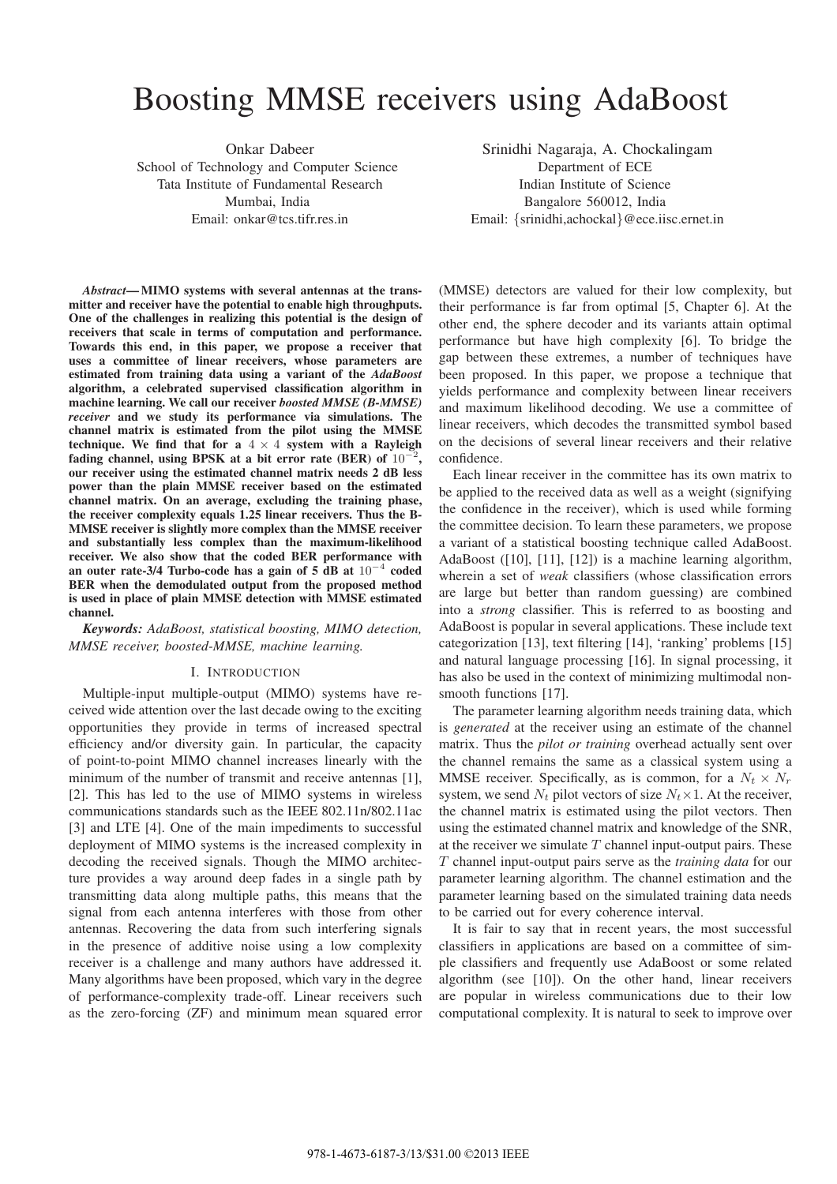# Boosting MMSE receivers using AdaBoost

Onkar Dabeer School of Technology and Computer Science Tata Institute of Fundamental Research Mumbai, India Email: onkar@tcs.tifr.res.in

Srinidhi Nagaraja, A. Chockalingam Department of ECE Indian Institute of Science Bangalore 560012, India Email: {srinidhi,achockal}@ece.iisc.ernet.in

*Abstract***— MIMO systems with several antennas at the transmitter and receiver have the potential to enable high throughputs. One of the challenges in realizing this potential is the design of receivers that scale in terms of computation and performance. Towards this end, in this paper, we propose a receiver that uses a committee of linear receivers, whose parameters are estimated from training data using a variant of the** *AdaBoost* **algorithm, a celebrated supervised classification algorithm in machine learning. We call our receiver** *boosted MMSE (B-MMSE) receiver* **and we study its performance via simulations. The channel matrix is estimated from the pilot using the MMSE technique.** We find that for a  $4 \times 4$  system with a Rayleigh **fading channel, using BPSK at a bit error rate (BER) of** <sup>10</sup><sup>−</sup><sup>2</sup>**, our receiver using the estimated channel matrix needs 2 dB less power than the plain MMSE receiver based on the estimated channel matrix. On an average, excluding the training phase, the receiver complexity equals 1.25 linear receivers. Thus the B-MMSE receiver is slightly more complex than the MMSE receiver and substantially less complex than the maximum-likelihood receiver. We also show that the coded BER performance with an outer rate-3/4 Turbo-code has a gain of 5 dB at** <sup>10</sup><sup>−</sup><sup>4</sup> **coded BER when the demodulated output from the proposed method is used in place of plain MMSE detection with MMSE estimated channel.**

*Keywords: AdaBoost, statistical boosting, MIMO detection, MMSE receiver, boosted-MMSE, machine learning.*

### I. INTRODUCTION

Multiple-input multiple-output (MIMO) systems have received wide attention over the last decade owing to the exciting opportunities they provide in terms of increased spectral efficiency and/or diversity gain. In particular, the capacity of point-to-point MIMO channel increases linearly with the minimum of the number of transmit and receive antennas [1], [2]. This has led to the use of MIMO systems in wireless communications standards such as the IEEE 802.11n/802.11ac [3] and LTE [4]. One of the main impediments to successful deployment of MIMO systems is the increased complexity in decoding the received signals. Though the MIMO architecture provides a way around deep fades in a single path by transmitting data along multiple paths, this means that the signal from each antenna interferes with those from other antennas. Recovering the data from such interfering signals in the presence of additive noise using a low complexity receiver is a challenge and many authors have addressed it. Many algorithms have been proposed, which vary in the degree of performance-complexity trade-off. Linear receivers such as the zero-forcing (ZF) and minimum mean squared error

(MMSE) detectors are valued for their low complexity, but their performance is far from optimal [5, Chapter 6]. At the other end, the sphere decoder and its variants attain optimal performance but have high complexity [6]. To bridge the gap between these extremes, a number of techniques have been proposed. In this paper, we propose a technique that yields performance and complexity between linear receivers and maximum likelihood decoding. We use a committee of linear receivers, which decodes the transmitted symbol based on the decisions of several linear receivers and their relative confidence.

Each linear receiver in the committee has its own matrix to be applied to the received data as well as a weight (signifying the confidence in the receiver), which is used while forming the committee decision. To learn these parameters, we propose a variant of a statistical boosting technique called AdaBoost. AdaBoost ([10], [11], [12]) is a machine learning algorithm, wherein a set of *weak* classifiers (whose classification errors are large but better than random guessing) are combined into a *strong* classifier. This is referred to as boosting and AdaBoost is popular in several applications. These include text categorization [13], text filtering [14], 'ranking' problems [15] and natural language processing [16]. In signal processing, it has also be used in the context of minimizing multimodal nonsmooth functions [17].

The parameter learning algorithm needs training data, which is *generated* at the receiver using an estimate of the channel matrix. Thus the *pilot or training* overhead actually sent over the channel remains the same as a classical system using a MMSE receiver. Specifically, as is common, for a  $N_t \times N_r$ system, we send  $N_t$  pilot vectors of size  $N_t \times 1$ . At the receiver, the channel matrix is estimated using the pilot vectors. Then using the estimated channel matrix and knowledge of the SNR, at the receiver we simulate  $T$  channel input-output pairs. These T channel input-output pairs serve as the *training data* for our parameter learning algorithm. The channel estimation and the parameter learning based on the simulated training data needs to be carried out for every coherence interval.

It is fair to say that in recent years, the most successful classifiers in applications are based on a committee of simple classifiers and frequently use AdaBoost or some related algorithm (see [10]). On the other hand, linear receivers are popular in wireless communications due to their low computational complexity. It is natural to seek to improve over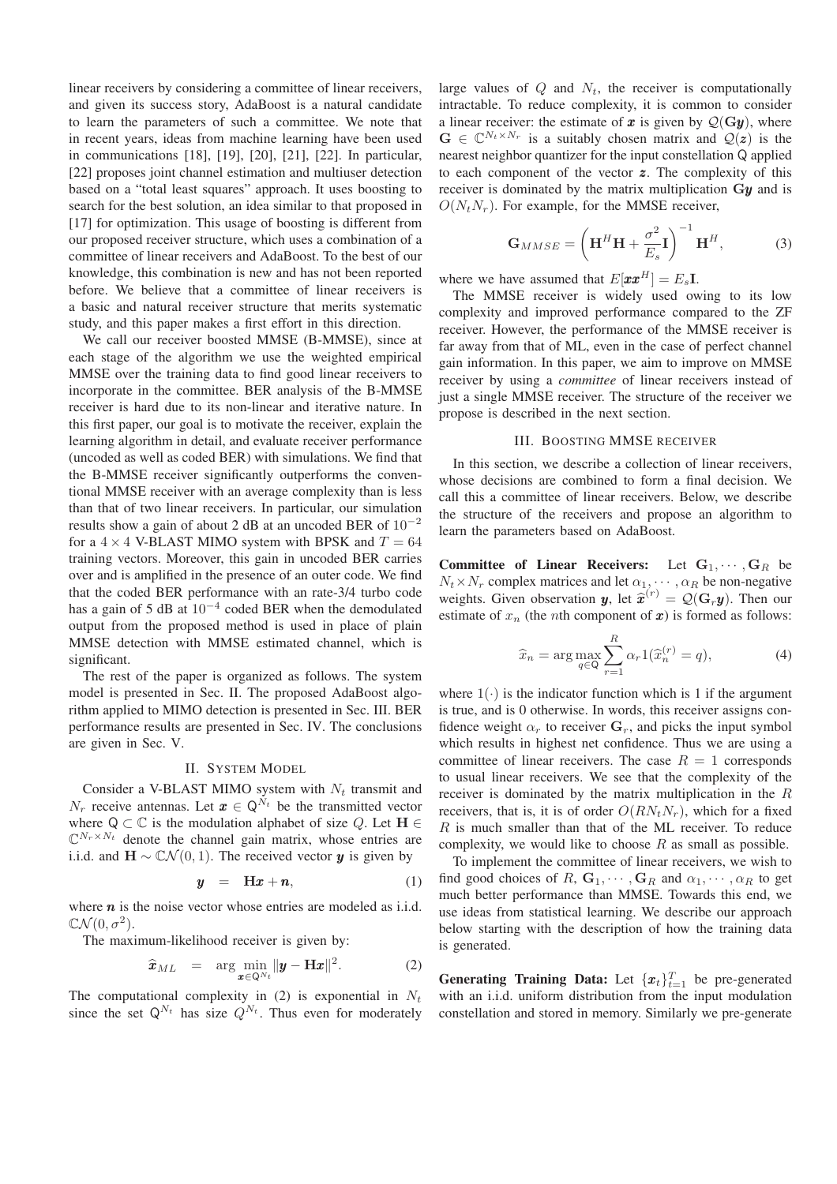linear receivers by considering a committee of linear receivers, and given its success story, AdaBoost is a natural candidate to learn the parameters of such a committee. We note that in recent years, ideas from machine learning have been used in communications [18], [19], [20], [21], [22]. In particular, [22] proposes joint channel estimation and multiuser detection based on a "total least squares" approach. It uses boosting to search for the best solution, an idea similar to that proposed in [17] for optimization. This usage of boosting is different from our proposed receiver structure, which uses a combination of a committee of linear receivers and AdaBoost. To the best of our knowledge, this combination is new and has not been reported before. We believe that a committee of linear receivers is a basic and natural receiver structure that merits systematic study, and this paper makes a first effort in this direction.

We call our receiver boosted MMSE (B-MMSE), since at each stage of the algorithm we use the weighted empirical MMSE over the training data to find good linear receivers to incorporate in the committee. BER analysis of the B-MMSE receiver is hard due to its non-linear and iterative nature. In this first paper, our goal is to motivate the receiver, explain the learning algorithm in detail, and evaluate receiver performance (uncoded as well as coded BER) with simulations. We find that the B-MMSE receiver significantly outperforms the conventional MMSE receiver with an average complexity than is less than that of two linear receivers. In particular, our simulation results show a gain of about 2 dB at an uncoded BER of  $10^{-2}$ for a  $4 \times 4$  V-BLAST MIMO system with BPSK and  $T = 64$ training vectors. Moreover, this gain in uncoded BER carries over and is amplified in the presence of an outer code. We find that the coded BER performance with an rate-3/4 turbo code has a gain of 5 dB at  $10^{-4}$  coded BER when the demodulated output from the proposed method is used in place of plain MMSE detection with MMSE estimated channel, which is significant.

The rest of the paper is organized as follows. The system model is presented in Sec. II. The proposed AdaBoost algorithm applied to MIMO detection is presented in Sec. III. BER performance results are presented in Sec. IV. The conclusions are given in Sec. V.

#### II. SYSTEM MODEL

Consider a V-BLAST MIMO system with  $N_t$  transmit and  $N_r$  receive antennas. Let  $\mathbf{x} \in \mathbb{Q}^{N_t}$  be the transmitted vector where  $Q \subset \mathbb{C}$  is the modulation alphabet of size Q. Let  $H \in$  $\mathbb{C}^{N_r \times N_t}$  denote the channel gain matrix, whose entries are i.i.d. and  $\mathbf{H} \sim \mathbb{C}\mathcal{N}(0, 1)$ . The received vector y is given by

$$
y = Hx + n, \tag{1}
$$

where  $n$  is the noise vector whose entries are modeled as i.i.d.  $\mathbb{C}\mathcal{N}(0,\sigma^2)$ .

The maximum-likelihood receiver is given by:

$$
\widehat{\boldsymbol{x}}_{ML} = \arg\min_{\boldsymbol{x} \in \mathbb{Q}^{N_t}} \|\boldsymbol{y} - \mathbf{H}\boldsymbol{x}\|^2. \tag{2}
$$

The computational complexity in  $(2)$  is exponential in  $N_t$ since the set  $Q^{N_t}$  has size  $Q^{N_t}$ . Thus even for moderately large values of  $Q$  and  $N_t$ , the receiver is computationally intractable. To reduce complexity, it is common to consider a linear receiver: the estimate of x is given by  $\mathcal{Q}(\mathbf{Gy})$ , where  $G \in \mathbb{C}^{N_t \times N_r}$  is a suitably chosen matrix and  $\mathcal{Q}(z)$  is the nearest neighbor quantizer for the input constellation Q applied to each component of the vector z. The complexity of this receiver is dominated by the matrix multiplication **G**y and is  $O(N_tN_r)$ . For example, for the MMSE receiver,

$$
\mathbf{G}_{MMSE} = \left(\mathbf{H}^{H}\mathbf{H} + \frac{\sigma^{2}}{E_{s}}\mathbf{I}\right)^{-1}\mathbf{H}^{H},\tag{3}
$$

where we have assumed that  $E[\boldsymbol{x}\boldsymbol{x}^{H}] = E_{s}\mathbf{I}$ .

The MMSE receiver is widely used owing to its low complexity and improved performance compared to the ZF receiver. However, the performance of the MMSE receiver is far away from that of ML, even in the case of perfect channel gain information. In this paper, we aim to improve on MMSE receiver by using a *committee* of linear receivers instead of just a single MMSE receiver. The structure of the receiver we propose is described in the next section.

## III. BOOSTING MMSE RECEIVER

In this section, we describe a collection of linear receivers, whose decisions are combined to form a final decision. We call this a committee of linear receivers. Below, we describe the structure of the receivers and propose an algorithm to learn the parameters based on AdaBoost.

**Committee of Linear Receivers:** Let  $\mathbf{G}_1, \cdots, \mathbf{G}_R$  be  $N_t \times N_r$  complex matrices and let  $\alpha_1, \dots, \alpha_R$  be non-negative weights. Given observation **y**, let  $\hat{\mathbf{x}}^{(r)} = Q(\mathbf{G}_r \mathbf{y})$ . Then our estimate of x, (the nth component of x) is formed as follows: estimate of  $x_n$  (the *n*th component of  $x$ ) is formed as follows:

$$
\widehat{x}_n = \arg\max_{q \in \mathsf{Q}} \sum_{r=1}^R \alpha_r 1(\widehat{x}_n^{(r)} = q),\tag{4}
$$

where  $1(\cdot)$  is the indicator function which is 1 if the argument is true, and is 0 otherwise. In words, this receiver assigns confidence weight  $\alpha_r$  to receiver  $\mathbf{G}_r$ , and picks the input symbol which results in highest net confidence. Thus we are using a committee of linear receivers. The case  $R = 1$  corresponds to usual linear receivers. We see that the complexity of the receiver is dominated by the matrix multiplication in the R receivers, that is, it is of order  $O(RN_tN_r)$ , which for a fixed  $R$  is much smaller than that of the ML receiver. To reduce complexity, we would like to choose  $R$  as small as possible.

To implement the committee of linear receivers, we wish to find good choices of R,  $\mathbf{G}_1, \cdots, \mathbf{G}_R$  and  $\alpha_1, \cdots, \alpha_R$  to get much better performance than MMSE. Towards this end, we use ideas from statistical learning. We describe our approach below starting with the description of how the training data is generated.

**Generating Training Data:** Let  $\{\boldsymbol{x}_t\}_{t=1}^T$  be pre-generated with an i.i.d. uniform distribution from the input modulation constellation and stored in memory. Similarly we pre-generate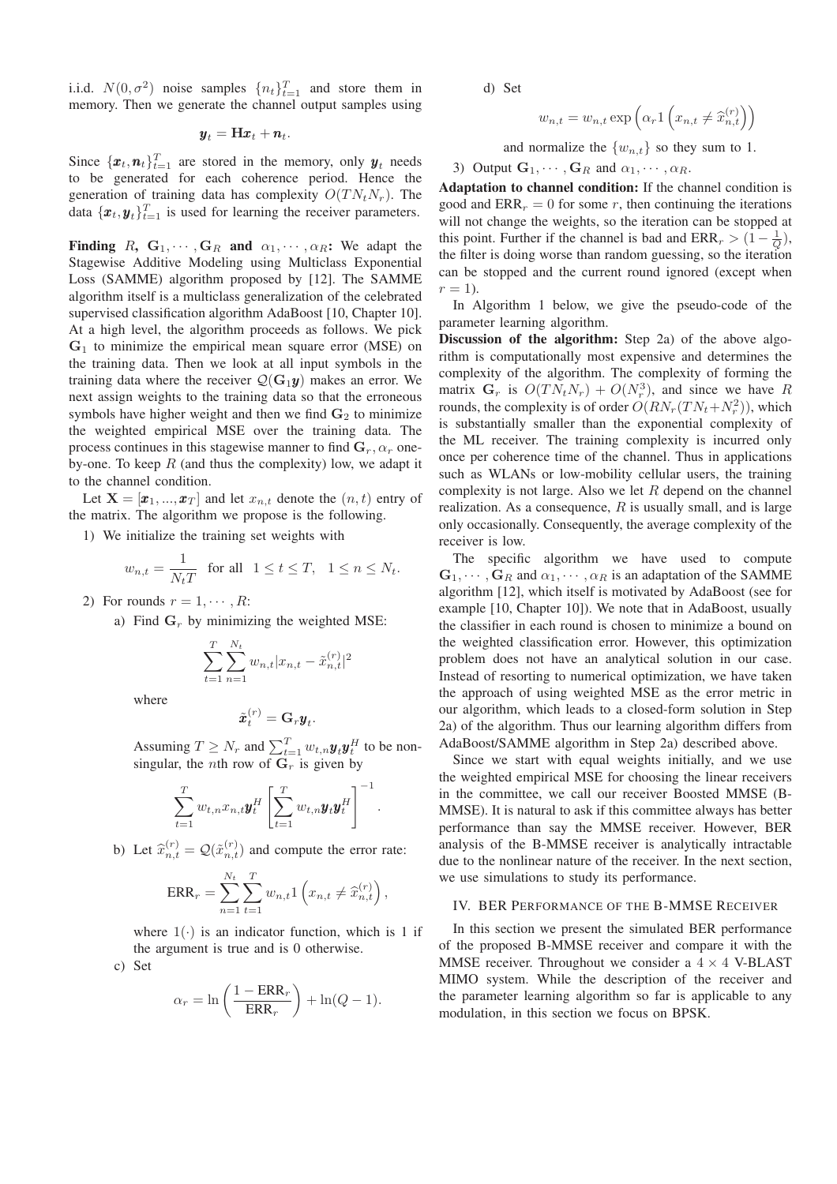i.i.d.  $N(0, \sigma^2)$  noise samples  $\{n_t\}_{t=1}^T$  and store them in memory. Then we generate the channel output samples using memory. Then we generate the channel output samples using

# $y_t = Hx_t + n_t$ .

Since  $\{\boldsymbol{x}_t, \boldsymbol{n}_t\}_{t=1}^T$  are stored in the memory, only  $\boldsymbol{y}_t$  needs to be generated for each coherence period. Hence the generation of training data has complexity  $O(T N_t N_r)$ . The data  $\{\boldsymbol{x}_t, \boldsymbol{y}_t\}_{t=1}^T$  is used for learning the receiver parameters.

**Finding** R,  $G_1, \dots, G_R$  and  $\alpha_1, \dots, \alpha_R$ : We adapt the Stagewise Additive Modeling using Multiclass Exponential Loss (SAMME) algorithm proposed by [12]. The SAMME algorithm itself is a multiclass generalization of the celebrated supervised classification algorithm AdaBoost [10, Chapter 10]. At a high level, the algorithm proceeds as follows. We pick **G**<sup>1</sup> to minimize the empirical mean square error (MSE) on the training data. Then we look at all input symbols in the training data where the receiver  $Q(G_1y)$  makes an error. We next assign weights to the training data so that the erroneous symbols have higher weight and then we find  $G_2$  to minimize the weighted empirical MSE over the training data. The process continues in this stagewise manner to find  $\mathbf{G}_r$ ,  $\alpha_r$  oneby-one. To keep  $R$  (and thus the complexity) low, we adapt it to the channel condition.

Let  $X = [\mathbf{x}_1, ..., \mathbf{x}_T]$  and let  $x_{n,t}$  denote the  $(n, t)$  entry of the matrix. The algorithm we propose is the following.

1) We initialize the training set weights with

$$
w_{n,t}=\frac{1}{N_tT}\ \ \text{ for all }\ \ 1\leq t\leq T,\ \ 1\leq n\leq N_t.
$$

2) For rounds  $r = 1, \cdots, R$ :

a) Find  $G_r$  by minimizing the weighted MSE:

$$
\sum_{t=1}^{T} \sum_{n=1}^{N_t} w_{n,t} |x_{n,t} - \tilde{x}_{n,t}^{(r)}|^2
$$

where

$$
\tilde{\boldsymbol{x}}_t^{(r)} = \mathbf{G}_r \boldsymbol{y}_t.
$$

Assuming  $T \geq N_r$  and  $\sum_{t=1}^T w_{t,n} \mathbf{y}_t \mathbf{y}_t^H$  to be nonsingular, the *n*th row of  $\mathbf{G}_r$  is given by

$$
\sum_{t=1}^T w_{t,n} x_{n,t} \boldsymbol{y}_t^H \left[ \sum_{t=1}^T w_{t,n} \boldsymbol{y}_t \boldsymbol{y}_t^H \right]^{-1}
$$

.

b) Let  $\hat{x}_{n,t}^{(r)} = \mathcal{Q}(\tilde{x}_{n,t}^{(r)})$  and compute the error rate:

$$
ERR_r = \sum_{n=1}^{N_t} \sum_{t=1}^{T} w_{n,t} 1\left(x_{n,t} \neq \hat{x}_{n,t}^{(r)}\right),
$$

where  $1(\cdot)$  is an indicator function, which is 1 if the argument is true and is 0 otherwise.

c) Set

$$
\alpha_r = \ln\left(\frac{1 - \text{ERR}_r}{\text{ERR}_r}\right) + \ln(Q - 1).
$$

d) Set

$$
w_{n,t} = w_{n,t} \exp\left(\alpha_r 1\left(x_{n,t} \neq \hat{x}_{n,t}^{(r)}\right)\right)
$$

and normalize the  $\{w_{n,t}\}\$  so they sum to 1.

3) Output 
$$
G_1, \cdots, G_R
$$
 and  $\alpha_1, \cdots, \alpha_R$ .

**Adaptation to channel condition:** If the channel condition is good and  $\text{ERR}_r = 0$  for some r, then continuing the iterations will not change the weights, so the iteration can be stopped at this point. Further if the channel is bad and  $\text{ERR}_r > (1 - \frac{1}{Q})$ , the filter is doing worse than random guessing, so the iteration the filter is doing worse than random guessing, so the iteration can be stopped and the current round ignored (except when  $r = 1$ ).

In Algorithm 1 below, we give the pseudo-code of the parameter learning algorithm.

**Discussion of the algorithm:** Step 2a) of the above algorithm is computationally most expensive and determines the complexity of the algorithm. The complexity of forming the matrix  $G_r$  is  $O(TN_tN_r) + O(N_r^3)$ , and since we have R<br>rounds the complexity is of order  $O(RN_T(N_t + N^2))$  which rounds, the complexity is of order  $O(RN_r(TN_t+N_r^2))$ , which<br>is substantially smaller than the exponential complexity of is substantially smaller than the exponential complexity of the ML receiver. The training complexity is incurred only once per coherence time of the channel. Thus in applications such as WLANs or low-mobility cellular users, the training complexity is not large. Also we let  $R$  depend on the channel realization. As a consequence,  $R$  is usually small, and is large only occasionally. Consequently, the average complexity of the receiver is low.

The specific algorithm we have used to compute  $\mathbf{G}_1, \cdots, \mathbf{G}_R$  and  $\alpha_1, \cdots, \alpha_R$  is an adaptation of the SAMME algorithm [12], which itself is motivated by AdaBoost (see for example [10, Chapter 10]). We note that in AdaBoost, usually the classifier in each round is chosen to minimize a bound on the weighted classification error. However, this optimization problem does not have an analytical solution in our case. Instead of resorting to numerical optimization, we have taken the approach of using weighted MSE as the error metric in our algorithm, which leads to a closed-form solution in Step 2a) of the algorithm. Thus our learning algorithm differs from AdaBoost/SAMME algorithm in Step 2a) described above.

Since we start with equal weights initially, and we use the weighted empirical MSE for choosing the linear receivers in the committee, we call our receiver Boosted MMSE (B-MMSE). It is natural to ask if this committee always has better performance than say the MMSE receiver. However, BER analysis of the B-MMSE receiver is analytically intractable due to the nonlinear nature of the receiver. In the next section, we use simulations to study its performance.

## IV. BER PERFORMANCE OF THE B-MMSE RECEIVER

In this section we present the simulated BER performance of the proposed B-MMSE receiver and compare it with the MMSE receiver. Throughout we consider a  $4 \times 4$  V-BLAST MIMO system. While the description of the receiver and the parameter learning algorithm so far is applicable to any modulation, in this section we focus on BPSK.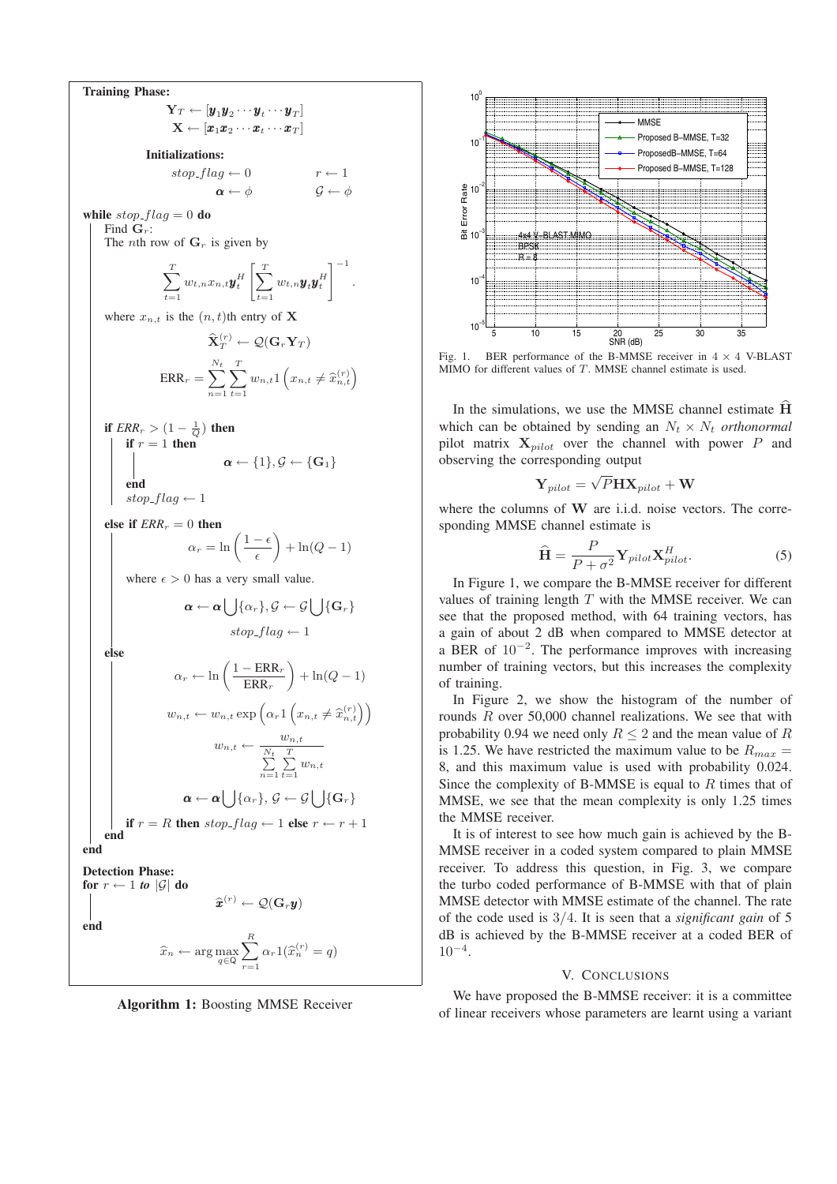**Training Phase:**  $\mathbf{Y}_T \leftarrow [\boldsymbol{y}_1 \boldsymbol{y}_2 \cdots \boldsymbol{y}_t \cdots \boldsymbol{y}_T]$  $\mathbf{X} \leftarrow [\pmb{x}_1\pmb{x}_2\cdots\pmb{x}_t\cdots\pmb{x}_T]$ **Initializations:**  $stop\_flag \leftarrow 0$ <br> $\alpha \leftarrow \phi$  $G \leftarrow \phi$ **while**  $stop\_flag = 0$  **do** Find  $\mathbf{G}_r$ : The *n*th row of  $\mathbf{G}_r$  is given by  $\sum_{i=1}^{T}$  $\sum_{t=1}^{\infty} w_{t,n}x_{n,t}\boldsymbol{y}_{t}^{H}$  $\left[\frac{T}{\sqrt{2}}\right]$  $\sum_{t=1}^{\infty} w_{t,n} \boldsymbol{y}_t \boldsymbol{y}_t^H$  $1^{-1}$ where  $x_{n,t}$  is the  $(n, t)$ th entry of **X**  $\widehat{\mathbf{X}}_{T}^{(r)} \leftarrow \mathcal{Q}(\mathbf{G}_r \mathbf{Y}_T)$  $\text{ERR}_r = \sum_{r=1}^{N_t} \sum_{t=1}^{T}$ *n*=1 *t*=1  $w_{n,t}$ <sup>1</sup>  $\left(x_{n,t}\neq \widehat{x}_{n,t}^{(r)}\right)$ **if**  $ERR_r > (1 - \frac{1}{Q})$  **then**<br>**if**  $r = 1$  **then if**  $r = 1$  **then**  $\alpha \leftarrow \{1\}, \mathcal{G} \leftarrow \{\mathbf{G}_1\}$ **end**  $stop\_flag \leftarrow 1$ **else** if  $ERR_r = 0$  **then**  $\alpha_r = \ln\left(\frac{1-\epsilon}{\epsilon}\right) + \ln(Q-1)$ where  $\epsilon > 0$  has a very small value.  $\boldsymbol{\alpha} \leftarrow \boldsymbol{\alpha} \bigcup \{\alpha_r\}, \mathcal{G} \leftarrow \mathcal{G} \bigcup \{\mathbf{G}_r\}$  $stop\_flag \leftarrow 1$ **else**  $\alpha_r \leftarrow \ln \left( \frac{1 - \text{ERR}_r}{\text{ERR}_r} \right)$  $\Big)+\ln(Q-1)$  $w_{n,t} \leftarrow w_{n,t} \exp\left(\alpha_r 1\right)$  $(x_{n,t} \neq \hat{x}_{n,t}^{(r)})$  $w_{n,t} \leftarrow \frac{w_{n,t}}{\sum_{i=1}^{N_t} \sum_{j=1}^{T_i}}$ *n*=1 *T*  $\sum_{t=1}^{n} w_{n,t}$  $\boldsymbol{\alpha} \leftarrow \boldsymbol{\alpha} \bigcup \{\alpha_r\}, \, \mathcal{G} \leftarrow \mathcal{G} \bigcup \{\mathbf{G}_r\}$ **if**  $r = R$  **then** stop\_flag  $\leftarrow$  1 **else**  $r \leftarrow r + 1$ **end end Detection Phase: for**  $r \leftarrow 1$  **to** |G| **do**  $\widehat{\bm{x}}^{(r)} \leftarrow \mathcal{Q}(\mathbf{G}_r \bm{y})$ **end**  $\widehat{x}_n \leftarrow \arg\max_{q \in \mathsf{Q}}$ *R*  $\sum_{r=1} \alpha_r 1(\widehat{x}_n^{(r)} = q)$ 

**Algorithm 1:** Boosting MMSE Receiver



Fig. 1. BER performance of the B-MMSE receiver in 4 *×* 4 V-BLAST MIMO for different values of *T*. MMSE channel estimate is used.

In the simulations, we use the MMSE channel estimate **H** which can be obtained by sending an  $N_t \times N_t$  *orthonormal* pilot matrix **X***pilot* over the channel with power P and observing the corresponding output

$$
\mathbf{Y}_{pilot} = \sqrt{P} \mathbf{H} \mathbf{X}_{pilot} + \mathbf{W}
$$

where the columns of W are i.i.d. noise vectors. The corresponding MMSE channel estimate is

$$
\hat{\mathbf{H}} = \frac{P}{P + \sigma^2} \mathbf{Y}_{pilot} \mathbf{X}_{pilot}^H.
$$
\nIn Figure 1, we compare the B-MMSE receiver for different

values of training length  $T$  with the MMSE receiver. We can see that the proposed method, with 64 training vectors, has a gain of about 2 dB when compared to MMSE detector at a BER of  $10^{-2}$ . The performance improves with increasing number of training vectors, but this increases the complexity of training.

In Figure 2, we show the histogram of the number of rounds R over 50,000 channel realizations. We see that with probability 0.94 we need only  $R \leq 2$  and the mean value of R is 1.25. We have restricted the maximum value to be  $R_{max}$  = 8, and this maximum value is used with probability 0.024. Since the complexity of B-MMSE is equal to  $R$  times that of MMSE, we see that the mean complexity is only 1.25 times the MMSE receiver.

It is of interest to see how much gain is achieved by the B-MMSE receiver in a coded system compared to plain MMSE receiver. To address this question, in Fig. 3, we compare the turbo coded performance of B-MMSE with that of plain MMSE detector with MMSE estimate of the channel. The rate of the code used is 3/4. It is seen that a *significant gain* of 5 dB is achieved by the B-MMSE receiver at a coded BER of  $10^{-4}$ .

## V. CONCLUSIONS

We have proposed the B-MMSE receiver: it is a committee of linear receivers whose parameters are learnt using a variant